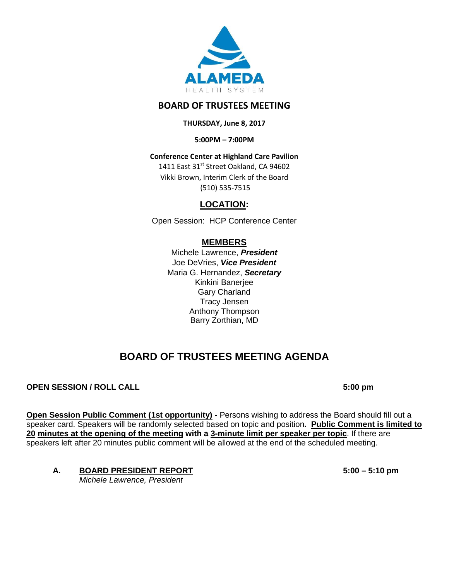

## **BOARD OF TRUSTEES MEETING**

### **THURSDAY, June 8, 2017**

**5:00PM – 7:00PM**

## **Conference Center at Highland Care Pavilion**

1411 East 31st Street Oakland, CA 94602 Vikki Brown, Interim Clerk of the Board (510) 535-7515

## **LOCATION:**

Open Session: HCP Conference Center

## **MEMBERS**

Michele Lawrence, *President*  Joe DeVries, *Vice President*  Maria G. Hernandez, *Secretary* Kinkini Banerjee Gary Charland Tracy Jensen Anthony Thompson Barry Zorthian, MD

# **BOARD OF TRUSTEES MEETING AGENDA**

## **OPEN SESSION / ROLL CALL 6:00 pm**

**Open Session Public Comment (1st opportunity) - Persons wishing to address the Board should fill out a** speaker card. Speakers will be randomly selected based on topic and position**. Public Comment is limited to 20 minutes at the opening of the meeting with a 3-minute limit per speaker per topic**. If there are speakers left after 20 minutes public comment will be allowed at the end of the scheduled meeting.

## **A. BOARD PRESIDENT REPORT 5:00 – 5:10 pm**

*Michele Lawrence, President*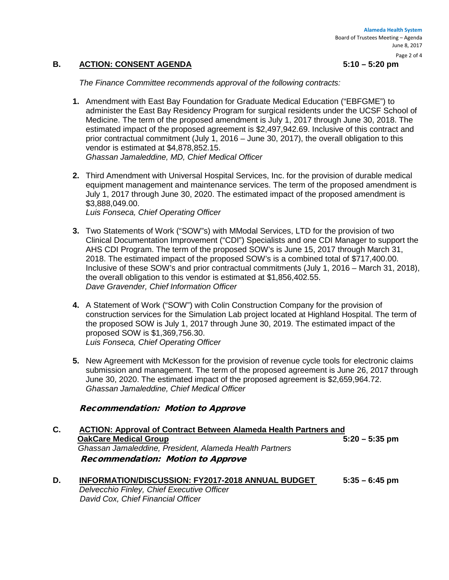#### Page 2 of 4

#### **B. ACTION: CONSENT AGENDA 5:10 – 5:20 pm**

*The Finance Committee recommends approval of the following contracts:*

- **1.** Amendment with East Bay Foundation for Graduate Medical Education ("EBFGME") to administer the East Bay Residency Program for surgical residents under the UCSF School of Medicine. The term of the proposed amendment is July 1, 2017 through June 30, 2018. The estimated impact of the proposed agreement is \$2,497,942.69. Inclusive of this contract and prior contractual commitment (July 1, 2016 – June 30, 2017), the overall obligation to this vendor is estimated at \$4,878,852.15. *Ghassan Jamaleddine, MD, Chief Medical Officer*
- **2.** Third Amendment with Universal Hospital Services, Inc. for the provision of durable medical equipment management and maintenance services. The term of the proposed amendment is July 1, 2017 through June 30, 2020. The estimated impact of the proposed amendment is \$3,888,049.00.

*Luis Fonseca, Chief Operating Officer*

- **3.** Two Statements of Work ("SOW"s) with MModal Services, LTD for the provision of two Clinical Documentation Improvement ("CDI") Specialists and one CDI Manager to support the AHS CDI Program. The term of the proposed SOW's is June 15, 2017 through March 31, 2018. The estimated impact of the proposed SOW's is a combined total of \$717,400.00. Inclusive of these SOW's and prior contractual commitments (July 1, 2016 – March 31, 2018), the overall obligation to this vendor is estimated at \$1,856,402.55. *Dave Gravender, Chief Information Officer*
- **4.** A Statement of Work ("SOW") with Colin Construction Company for the provision of construction services for the Simulation Lab project located at Highland Hospital. The term of the proposed SOW is July 1, 2017 through June 30, 2019. The estimated impact of the proposed SOW is \$1,369,756.30. *Luis Fonseca, Chief Operating Officer*
- **5.** New Agreement with McKesson for the provision of revenue cycle tools for electronic claims submission and management. The term of the proposed agreement is June 26, 2017 through June 30, 2020. The estimated impact of the proposed agreement is \$2,659,964.72. *Ghassan Jamaleddine, Chief Medical Officer*

#### Recommendation: Motion to Approve

- **C. ACTION: Approval of Contract Between Alameda Health Partners and OakCare Medical Group**  *Ghassan Jamaleddine, President, Alameda Health Partners* Recommendation: Motion to Approve
- **D. INFORMATION/DISCUSSION: FY2017-2018 ANNUAL BUDGET 5:35 – 6:45 pm** *Delvecchio Finley, Chief Executive Officer David Cox, Chief Financial Officer*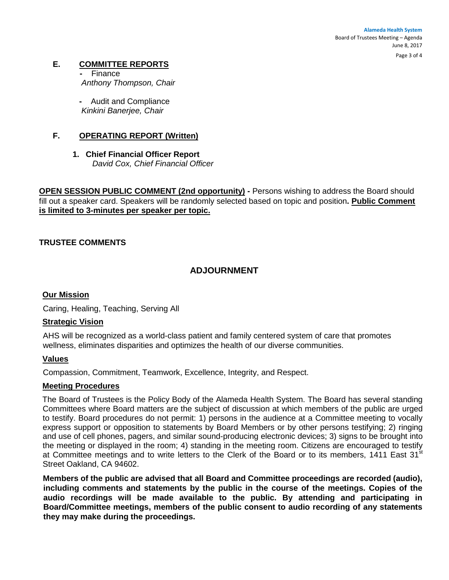**Alameda Health System**  Board of Trustees Meeting – Agenda June 8, 2017

Page 3 of 4

### **E. COMMITTEE REPORTS**

 **-** Finance *Anthony Thompson, Chair*

**-** Audit and Compliance *Kinkini Banerjee, Chair*

#### **F. OPERATING REPORT (Written)**

**1. Chief Financial Officer Report** *David Cox, Chief Financial Officer*

**OPEN SESSION PUBLIC COMMENT (2nd opportunity) -** Persons wishing to address the Board should fill out a speaker card. Speakers will be randomly selected based on topic and position**. Public Comment is limited to 3-minutes per speaker per topic.**

### **TRUSTEE COMMENTS**

## **ADJOURNMENT**

#### **Our Mission**

Caring, Healing, Teaching, Serving All

#### **Strategic Vision**

AHS will be recognized as a world-class patient and family centered system of care that promotes wellness, eliminates disparities and optimizes the health of our diverse communities.

#### **Values**

Compassion, Commitment, Teamwork, Excellence, Integrity, and Respect.

#### **Meeting Procedures**

The Board of Trustees is the Policy Body of the Alameda Health System. The Board has several standing Committees where Board matters are the subject of discussion at which members of the public are urged to testify. Board procedures do not permit: 1) persons in the audience at a Committee meeting to vocally express support or opposition to statements by Board Members or by other persons testifying; 2) ringing and use of cell phones, pagers, and similar sound-producing electronic devices; 3) signs to be brought into the meeting or displayed in the room; 4) standing in the meeting room. Citizens are encouraged to testify at Committee meetings and to write letters to the Clerk of the Board or to its members, 1411 East 31<sup>st</sup> Street Oakland, CA 94602.

**Members of the public are advised that all Board and Committee proceedings are recorded (audio), including comments and statements by the public in the course of the meetings. Copies of the audio recordings will be made available to the public. By attending and participating in Board/Committee meetings, members of the public consent to audio recording of any statements they may make during the proceedings.**